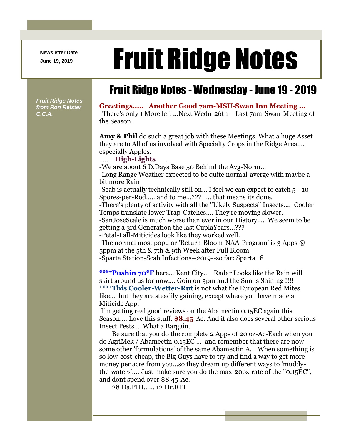**Newsletter Date**

## Newsletter Date **Fruit Ridge Notes**

## Fruit Ridge Notes - Wednesday - June 19 - 2019

*Fruit Ridge Notes from Ron Reister C.C.A.*

## **Greetings..... Another Good 7am-MSU-Swan Inn Meeting ...**

There's only 1 More left ...Next Wedn-26th---Last 7am-Swan-Meeting of the Season.

**Amy & Phil** do such a great job with these Meetings. What a huge Asset they are to All of us involved with Specialty Crops in the Ridge Area.... especially Apples.

## ...... **High-Lights** ...

-We are about 6 D.Days Base 50 Behind the Avg-Norm...

-Long Range Weather expected to be quite normal-averge with maybe a bit more Rain

-Scab is actually technically still on... I feel we can expect to catch 5 - 10 Spores-per-Rod..... and to me...??? ... that means its done.

-There's plenty of activity with all the ''Likely Suspects'' Insects.... Cooler Temps translate lower Trap-Catches.... They're moving slower.

-SanJoseScale is much worse than ever in our History.... We seem to be getting a 3rd Generation the last CuplaYears...???

-Petal-Fall-Miticides look like they worked well.

-The normal most popular 'Return-Bloom-NAA-Program' is 3 Apps @ 5ppm at the 5th & 7th & 9th Week after Full Bloom.

-Sparta Station-Scab Infections--2019--so far: Sparta=8

**\*\*\*\*Pushin 70\*F** here....Kent City... Radar Looks like the Rain will skirt around us for now.... Goin on 3pm and the Sun is Shining !!!! **\*\*\*\*This Cooler-Wetter-Rut** is not what the European Red Mites like... but they are steadily gaining, except where you have made a Miticide App.

I'm getting real good reviews on the Abamectin 0.15EC again this Season.... Love this stuff. **\$8.45**-Ac. And it also does several other serious Insect Pests... What a Bargain.

Be sure that you do the complete 2 Apps of 20 oz-Ac-Each when you do AgriMek / Abamectin 0.15EC ... and remember that there are now some other 'formulations' of the same Abamectin A.I. When something is so low-cost-cheap, the Big Guys have to try and find a way to get more money per acre from you...so they dream up different ways to 'muddythe-waters'.... Just make sure you do the max-20oz-rate of the ''0.15EC'', and dont spend over \$8.45-Ac.

28 Da.PHI...... 12 Hr.REI